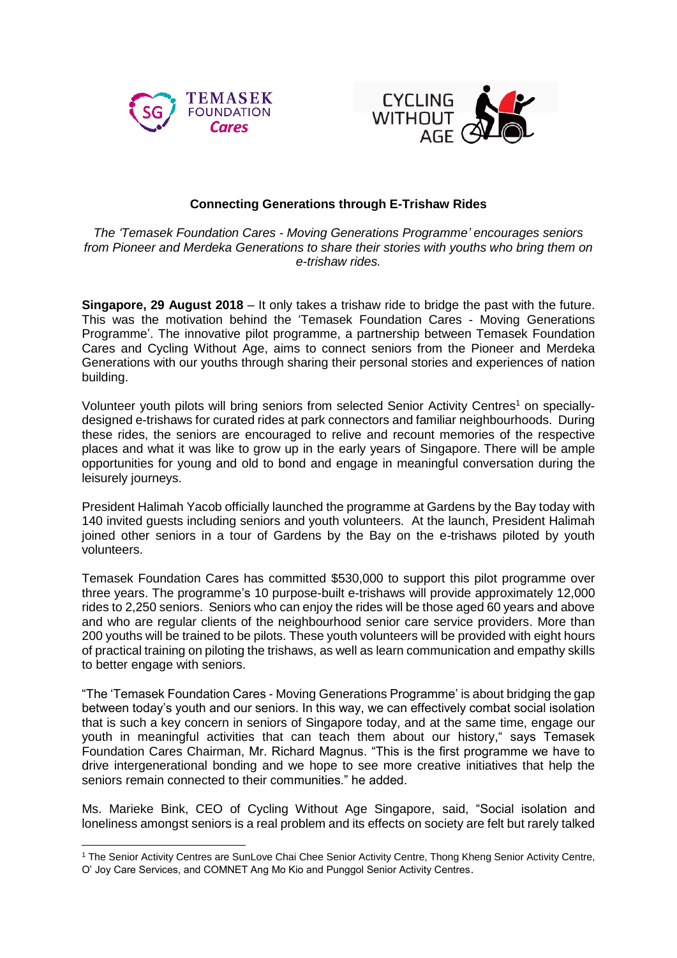



## **Connecting Generations through E-Trishaw Rides**

*The 'Temasek Foundation Cares - Moving Generations Programme' encourages seniors from Pioneer and Merdeka Generations to share their stories with youths who bring them on e-trishaw rides.*

**Singapore, 29 August 2018** – It only takes a trishaw ride to bridge the past with the future. This was the motivation behind the 'Temasek Foundation Cares - Moving Generations Programme'. The innovative pilot programme, a partnership between Temasek Foundation Cares and Cycling Without Age, aims to connect seniors from the Pioneer and Merdeka Generations with our youths through sharing their personal stories and experiences of nation building.

Volunteer youth pilots will bring seniors from selected Senior Activity Centres<sup>1</sup> on speciallydesigned e-trishaws for curated rides at park connectors and familiar neighbourhoods. During these rides, the seniors are encouraged to relive and recount memories of the respective places and what it was like to grow up in the early years of Singapore. There will be ample opportunities for young and old to bond and engage in meaningful conversation during the leisurely journeys.

President Halimah Yacob officially launched the programme at Gardens by the Bay today with 140 invited guests including seniors and youth volunteers. At the launch, President Halimah joined other seniors in a tour of Gardens by the Bay on the e-trishaws piloted by youth volunteers.

Temasek Foundation Cares has committed \$530,000 to support this pilot programme over three years. The programme's 10 purpose-built e-trishaws will provide approximately 12,000 rides to 2,250 seniors. Seniors who can enjoy the rides will be those aged 60 years and above and who are regular clients of the neighbourhood senior care service providers. More than 200 youths will be trained to be pilots. These youth volunteers will be provided with eight hours of practical training on piloting the trishaws, as well as learn communication and empathy skills to better engage with seniors.

"The 'Temasek Foundation Cares - Moving Generations Programme' is about bridging the gap between today's youth and our seniors. In this way, we can effectively combat social isolation that is such a key concern in seniors of Singapore today, and at the same time, engage our youth in meaningful activities that can teach them about our history," says Temasek Foundation Cares Chairman, Mr. Richard Magnus. "This is the first programme we have to drive intergenerational bonding and we hope to see more creative initiatives that help the seniors remain connected to their communities." he added.

Ms. Marieke Bink, CEO of Cycling Without Age Singapore, said, "Social isolation and loneliness amongst seniors is a real problem and its effects on society are felt but rarely talked

**<sup>.</sup>** <sup>1</sup> The Senior Activity Centres are SunLove Chai Chee Senior Activity Centre, Thong Kheng Senior Activity Centre, O' Joy Care Services, and COMNET Ang Mo Kio and Punggol Senior Activity Centres.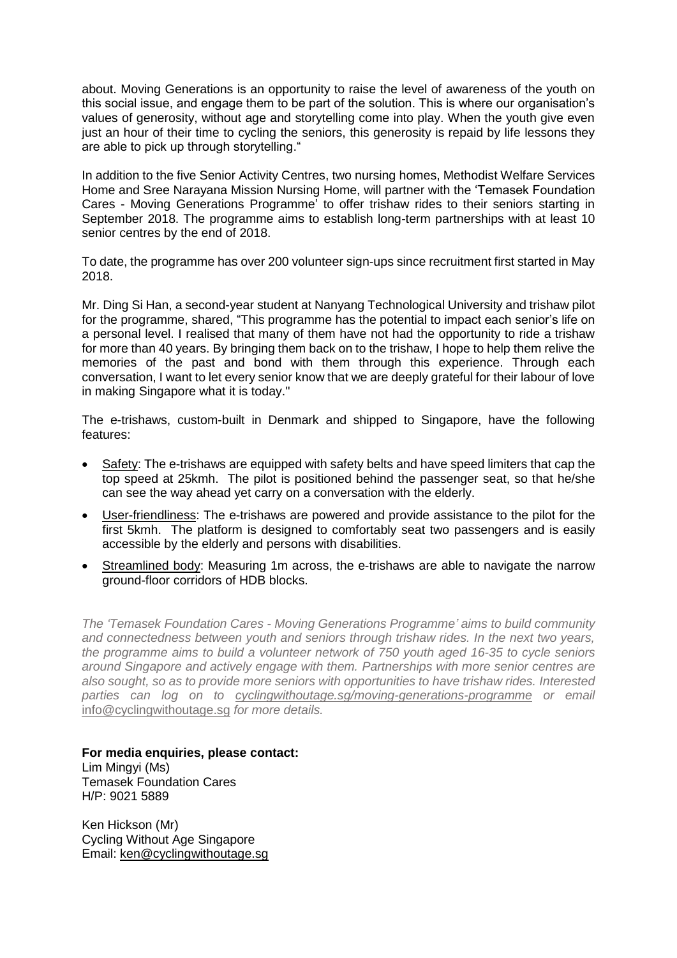about. Moving Generations is an opportunity to raise the level of awareness of the youth on this social issue, and engage them to be part of the solution. This is where our organisation's values of generosity, without age and storytelling come into play. When the youth give even just an hour of their time to cycling the seniors, this generosity is repaid by life lessons they are able to pick up through storytelling."

In addition to the five Senior Activity Centres, two nursing homes, Methodist Welfare Services Home and Sree Narayana Mission Nursing Home, will partner with the 'Temasek Foundation Cares - Moving Generations Programme' to offer trishaw rides to their seniors starting in September 2018. The programme aims to establish long-term partnerships with at least 10 senior centres by the end of 2018.

To date, the programme has over 200 volunteer sign-ups since recruitment first started in May 2018.

Mr. Ding Si Han, a second-year student at Nanyang Technological University and trishaw pilot for the programme, shared, "This programme has the potential to impact each senior's life on a personal level. I realised that many of them have not had the opportunity to ride a trishaw for more than 40 years. By bringing them back on to the trishaw, I hope to help them relive the memories of the past and bond with them through this experience. Through each conversation, I want to let every senior know that we are deeply grateful for their labour of love in making Singapore what it is today."

The e-trishaws, custom-built in Denmark and shipped to Singapore, have the following features:

- Safety: The e-trishaws are equipped with safety belts and have speed limiters that cap the top speed at 25kmh. The pilot is positioned behind the passenger seat, so that he/she can see the way ahead yet carry on a conversation with the elderly.
- User-friendliness: The e-trishaws are powered and provide assistance to the pilot for the first 5kmh. The platform is designed to comfortably seat two passengers and is easily accessible by the elderly and persons with disabilities.
- Streamlined body: Measuring 1m across, the e-trishaws are able to navigate the narrow ground-floor corridors of HDB blocks.

*The 'Temasek Foundation Cares - Moving Generations Programme' aims to build community and connectedness between youth and seniors through trishaw rides. In the next two years, the programme aims to build a volunteer network of 750 youth aged 16-35 to cycle seniors around Singapore and actively engage with them. Partnerships with more senior centres are also sought, so as to provide more seniors with opportunities to have trishaw rides. Interested parties can log on to [cyclingwithoutage.sg/moving-generations-programme](mailto:cyclingwithoutage.sg/moving-generations-programme) or email*  [info@cyclingwithoutage.sg](mailto:info@cyclingwithoutage.sg) *for more details.*

**For media enquiries, please contact:** Lim Mingyi (Ms) Temasek Foundation Cares H/P: 9021 5889

Ken Hickson (Mr) Cycling Without Age Singapore Email: [ken@cyclingwithoutage.sg](mailto:ken@cyclingwithoutage.sg)